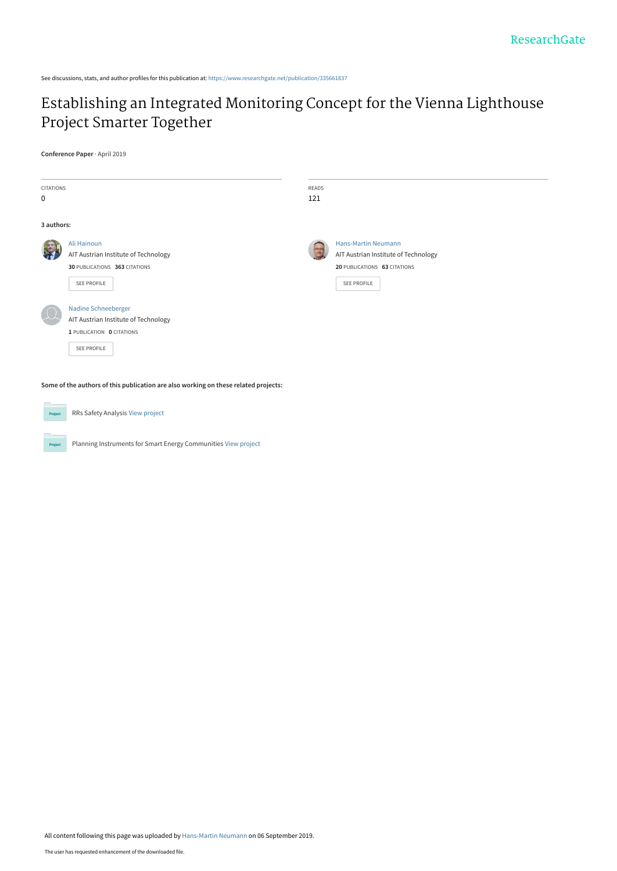See discussions, stats, and author profiles for this publication at: [https://www.researchgate.net/publication/335661837](https://www.researchgate.net/publication/335661837_Establishing_an_Integrated_Monitoring_Concept_for_the_Vienna_Lighthouse_Project_Smarter_Together?enrichId=rgreq-81a948b51416c0cc4849480c3f189005-XXX&enrichSource=Y292ZXJQYWdlOzMzNTY2MTgzNztBUzo4MDAxMjE1MTYxOTk5MzZAMTU2Nzc3NTI0MzI0NA%3D%3D&el=1_x_2&_esc=publicationCoverPdf)

# [Establishing an Integrated Monitoring Concept for the Vienna Lighthouse](https://www.researchgate.net/publication/335661837_Establishing_an_Integrated_Monitoring_Concept_for_the_Vienna_Lighthouse_Project_Smarter_Together?enrichId=rgreq-81a948b51416c0cc4849480c3f189005-XXX&enrichSource=Y292ZXJQYWdlOzMzNTY2MTgzNztBUzo4MDAxMjE1MTYxOTk5MzZAMTU2Nzc3NTI0MzI0NA%3D%3D&el=1_x_3&_esc=publicationCoverPdf) Project Smarter Together

**Conference Paper** · April 2019

| <b>CITATIONS</b><br>$\mathbf 0$ |                                                                                                         | READS<br>121 |                                                                                                                   |
|---------------------------------|---------------------------------------------------------------------------------------------------------|--------------|-------------------------------------------------------------------------------------------------------------------|
| 3 authors:                      |                                                                                                         |              |                                                                                                                   |
|                                 | Ali Hainoun<br>AIT Austrian Institute of Technology<br>30 PUBLICATIONS 363 CITATIONS<br>SEE PROFILE     | 35           | <b>Hans-Martin Neumann</b><br>AIT Austrian Institute of Technology<br>20 PUBLICATIONS 63 CITATIONS<br>SEE PROFILE |
|                                 | Nadine Schneeberger<br>AIT Austrian Institute of Technology<br>1 PUBLICATION 0 CITATIONS<br>SEE PROFILE |              |                                                                                                                   |

**Some of the authors of this publication are also working on these related projects:**

Project

RRs Safety Analysis [View project](https://www.researchgate.net/project/RRs-Safety-Analysis?enrichId=rgreq-81a948b51416c0cc4849480c3f189005-XXX&enrichSource=Y292ZXJQYWdlOzMzNTY2MTgzNztBUzo4MDAxMjE1MTYxOTk5MzZAMTU2Nzc3NTI0MzI0NA%3D%3D&el=1_x_9&_esc=publicationCoverPdf)

Planning Instruments for Smart Energy Communities [View project](https://www.researchgate.net/project/Planning-Instruments-for-Smart-Energy-Communities?enrichId=rgreq-81a948b51416c0cc4849480c3f189005-XXX&enrichSource=Y292ZXJQYWdlOzMzNTY2MTgzNztBUzo4MDAxMjE1MTYxOTk5MzZAMTU2Nzc3NTI0MzI0NA%3D%3D&el=1_x_9&_esc=publicationCoverPdf)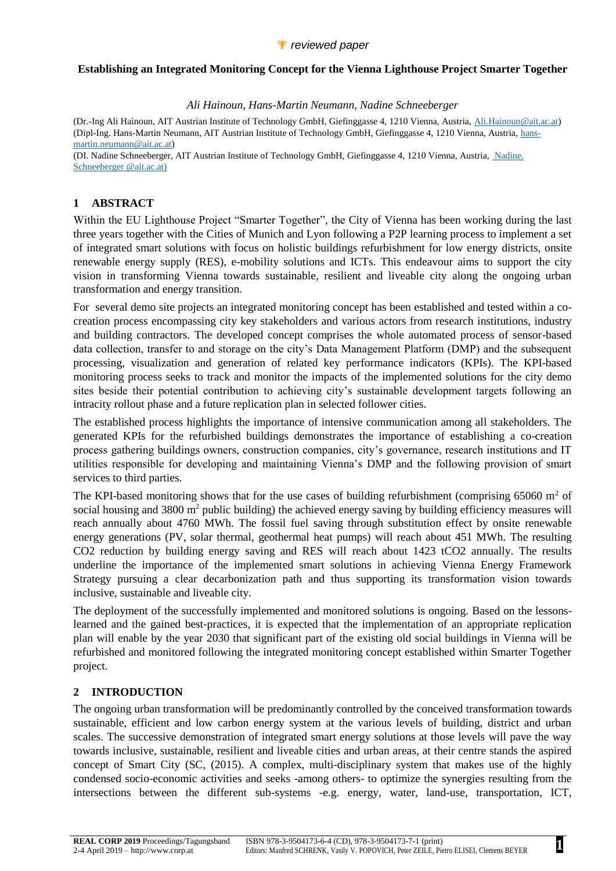#### **Establishing an Integrated Monitoring Concept for the Vienna Lighthouse Project Smarter Together**

#### *Ali Hainoun, Hans-Martin Neumann, Nadine Schneeberger*

(Dr.-Ing Ali Hainoun, AIT Austrian Institute of Technology GmbH, Giefinggasse 4, 1210 Vienna, Austria, [Ali.Hainoun@ait.ac.at\)](mailto:Ali.Hainoun@ait.ac.at) (Dipl-Ing. Hans-Martin Neumann, AIT Austrian Institute of Technology GmbH, Giefinggasse 4, 1210 Vienna, Austria, [hans](mailto:hans-martin.neumann@ait.ac.at)[martin.neumann@ait.ac.at\)](mailto:hans-martin.neumann@ait.ac.at)

(DI. Nadine Schneeberger, AIT Austrian Institute of Technology GmbH, Giefinggasse 4, 1210 Vienna, Austria, [Nadine.](mailto:hans-martin.neumann@ait.ac.at)  [Schneeberger @ait.ac.at\)](mailto:hans-martin.neumann@ait.ac.at)

## **1 ABSTRACT**

Within the EU Lighthouse Project "Smarter Together", the City of Vienna has been working during the last three years together with the Cities of Munich and Lyon following a P2P learning process to implement a set of integrated smart solutions with focus on holistic buildings refurbishment for low energy districts, onsite renewable energy supply (RES), e-mobility solutions and ICTs. This endeavour aims to support the city vision in transforming Vienna towards sustainable, resilient and liveable city along the ongoing urban transformation and energy transition.

For several demo site projects an integrated monitoring concept has been established and tested within a cocreation process encompassing city key stakeholders and various actors from research institutions, industry and building contractors. The developed concept comprises the whole automated process of sensor-based data collection, transfer to and storage on the city's Data Management Platform (DMP) and the subsequent processing, visualization and generation of related key performance indicators (KPIs). The KPI-based monitoring process seeks to track and monitor the impacts of the implemented solutions for the city demo sites beside their potential contribution to achieving city's sustainable development targets following an intracity rollout phase and a future replication plan in selected follower cities.

The established process highlights the importance of intensive communication among all stakeholders. The generated KPIs for the refurbished buildings demonstrates the importance of establishing a co-creation process gathering buildings owners, construction companies, city's governance, research institutions and IT utilities responsible for developing and maintaining Vienna's DMP and the following provision of smart services to third parties.

The KPI-based monitoring shows that for the use cases of building refurbishment (comprising 65060  $m<sup>2</sup>$  of social housing and 3800  $m<sup>2</sup>$  public building) the achieved energy saving by building efficiency measures will reach annually about 4760 MWh. The fossil fuel saving through substitution effect by onsite renewable energy generations (PV, solar thermal, geothermal heat pumps) will reach about 451 MWh. The resulting CO2 reduction by building energy saving and RES will reach about 1423 tCO2 annually. The results underline the importance of the implemented smart solutions in achieving Vienna Energy Framework Strategy pursuing a clear decarbonization path and thus supporting its transformation vision towards inclusive, sustainable and liveable city.

The deployment of the successfully implemented and monitored solutions is ongoing. Based on the lessonslearned and the gained best-practices, it is expected that the implementation of an appropriate replication plan will enable by the year 2030 that significant part of the existing old social buildings in Vienna will be refurbished and monitored following the integrated monitoring concept established within Smarter Together project.

## **2 INTRODUCTION**

The ongoing urban transformation will be predominantly controlled by the conceived transformation towards sustainable, efficient and low carbon energy system at the various levels of building, district and urban scales. The successive demonstration of integrated smart energy solutions at those levels will pave the way towards inclusive, sustainable, resilient and liveable cities and urban areas, at their centre stands the aspired concept of Smart City (SC, (2015). A complex, multi-disciplinary system that makes use of the highly condensed socio-economic activities and seeks -among others- to optimize the synergies resulting from the intersections between the different sub-systems -e.g. energy, water, land-use, transportation, ICT,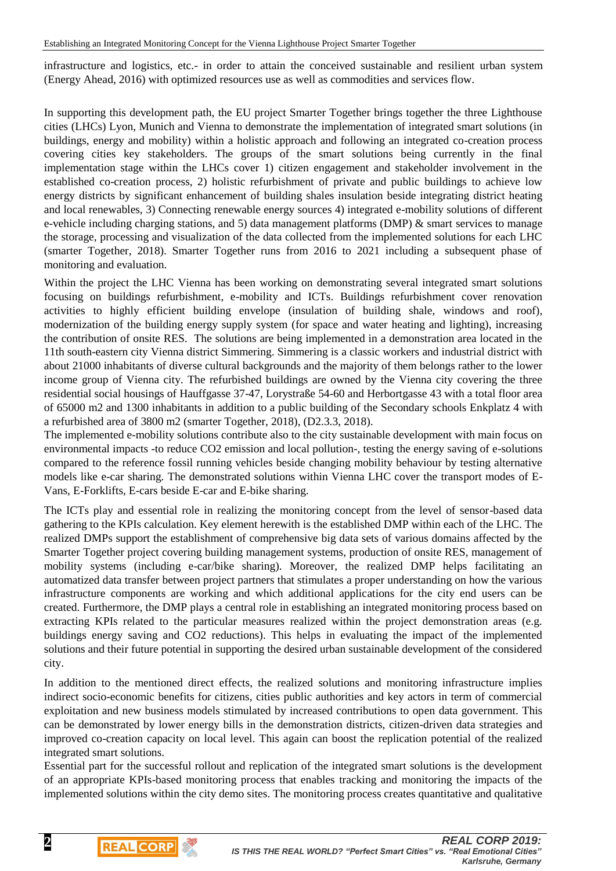infrastructure and logistics, etc.- in order to attain the conceived sustainable and resilient urban system (Energy Ahead, 2016) with optimized resources use as well as commodities and services flow.

In supporting this development path, the EU project Smarter Together brings together the three Lighthouse cities (LHCs) Lyon, Munich and Vienna to demonstrate the implementation of integrated smart solutions (in buildings, energy and mobility) within a holistic approach and following an integrated co-creation process covering cities key stakeholders. The groups of the smart solutions being currently in the final implementation stage within the LHCs cover 1) citizen engagement and stakeholder involvement in the established co-creation process, 2) holistic refurbishment of private and public buildings to achieve low energy districts by significant enhancement of building shales insulation beside integrating district heating and local renewables, 3) Connecting renewable energy sources 4) integrated e-mobility solutions of different e-vehicle including charging stations, and 5) data management platforms (DMP) & smart services to manage the storage, processing and visualization of the data collected from the implemented solutions for each LHC (smarter Together, 2018). Smarter Together runs from 2016 to 2021 including a subsequent phase of monitoring and evaluation.

Within the project the LHC Vienna has been working on demonstrating several integrated smart solutions focusing on buildings refurbishment, e-mobility and ICTs. Buildings refurbishment cover renovation activities to highly efficient building envelope (insulation of building shale, windows and roof), modernization of the building energy supply system (for space and water heating and lighting), increasing the contribution of onsite RES. The solutions are being implemented in a demonstration area located in the 11th south-eastern city Vienna district Simmering. Simmering is a classic workers and industrial district with about 21000 inhabitants of diverse cultural backgrounds and the majority of them belongs rather to the lower income group of Vienna city. The refurbished buildings are owned by the Vienna city covering the three residential social housings of Hauffgasse 37-47, Lorystraße 54-60 and Herbortgasse 43 with a total floor area of 65000 m2 and 1300 inhabitants in addition to a public building of the Secondary schools Enkplatz 4 with a refurbished area of 3800 m2 (smarter Together, 2018), (D2.3.3, 2018).

The implemented e-mobility solutions contribute also to the city sustainable development with main focus on environmental impacts -to reduce CO2 emission and local pollution-, testing the energy saving of e-solutions compared to the reference fossil running vehicles beside changing mobility behaviour by testing alternative models like e-car sharing. The demonstrated solutions within Vienna LHC cover the transport modes of E-Vans, E-Forklifts, E-cars beside E-car and E-bike sharing.

The ICTs play and essential role in realizing the monitoring concept from the level of sensor-based data gathering to the KPIs calculation. Key element herewith is the established DMP within each of the LHC. The realized DMPs support the establishment of comprehensive big data sets of various domains affected by the Smarter Together project covering building management systems, production of onsite RES, management of mobility systems (including e-car/bike sharing). Moreover, the realized DMP helps facilitating an automatized data transfer between project partners that stimulates a proper understanding on how the various infrastructure components are working and which additional applications for the city end users can be created. Furthermore, the DMP plays a central role in establishing an integrated monitoring process based on extracting KPIs related to the particular measures realized within the project demonstration areas (e.g. buildings energy saving and CO2 reductions). This helps in evaluating the impact of the implemented solutions and their future potential in supporting the desired urban sustainable development of the considered city.

In addition to the mentioned direct effects, the realized solutions and monitoring infrastructure implies indirect socio-economic benefits for citizens, cities public authorities and key actors in term of commercial exploitation and new business models stimulated by increased contributions to open data government. This can be demonstrated by lower energy bills in the demonstration districts, citizen-driven data strategies and improved co-creation capacity on local level. This again can boost the replication potential of the realized integrated smart solutions.

Essential part for the successful rollout and replication of the integrated smart solutions is the development of an appropriate KPIs-based monitoring process that enables tracking and monitoring the impacts of the implemented solutions within the city demo sites. The monitoring process creates quantitative and qualitative



**REAL CORP**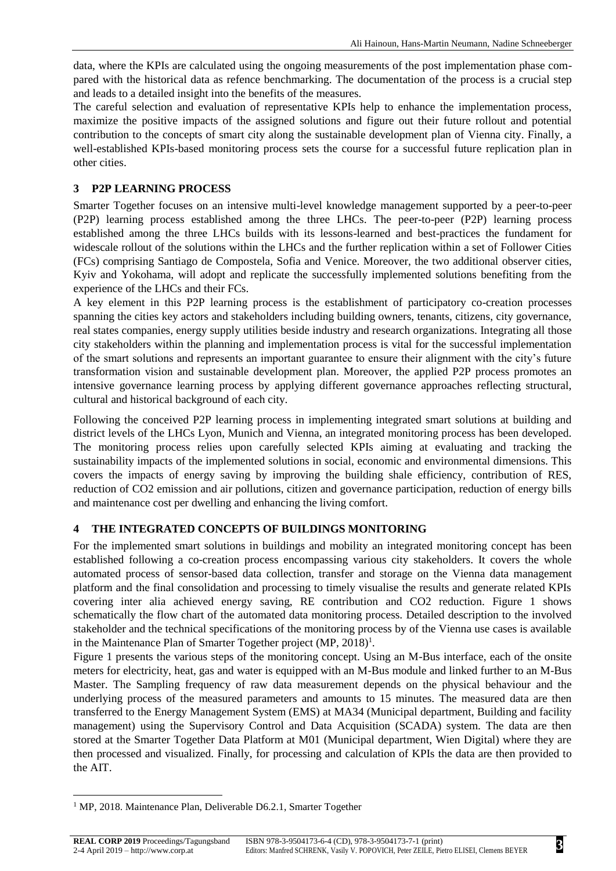data, where the KPIs are calculated using the ongoing measurements of the post implementation phase compared with the historical data as refence benchmarking. The documentation of the process is a crucial step and leads to a detailed insight into the benefits of the measures.

The careful selection and evaluation of representative KPIs help to enhance the implementation process, maximize the positive impacts of the assigned solutions and figure out their future rollout and potential contribution to the concepts of smart city along the sustainable development plan of Vienna city. Finally, a well-established KPIs-based monitoring process sets the course for a successful future replication plan in other cities.

## **3 P2P LEARNING PROCESS**

Smarter Together focuses on an intensive multi-level knowledge management supported by a peer-to-peer (P2P) learning process established among the three LHCs. The peer-to-peer (P2P) learning process established among the three LHCs builds with its lessons-learned and best-practices the fundament for widescale rollout of the solutions within the LHCs and the further replication within a set of Follower Cities (FCs) comprising Santiago de Compostela, Sofia and Venice. Moreover, the two additional observer cities, Kyiv and Yokohama, will adopt and replicate the successfully implemented solutions benefiting from the experience of the LHCs and their FCs.

A key element in this P2P learning process is the establishment of participatory co-creation processes spanning the cities key actors and stakeholders including building owners, tenants, citizens, city governance, real states companies, energy supply utilities beside industry and research organizations. Integrating all those city stakeholders within the planning and implementation process is vital for the successful implementation of the smart solutions and represents an important guarantee to ensure their alignment with the city's future transformation vision and sustainable development plan. Moreover, the applied P2P process promotes an intensive governance learning process by applying different governance approaches reflecting structural, cultural and historical background of each city.

Following the conceived P2P learning process in implementing integrated smart solutions at building and district levels of the LHCs Lyon, Munich and Vienna, an integrated monitoring process has been developed. The monitoring process relies upon carefully selected KPIs aiming at evaluating and tracking the sustainability impacts of the implemented solutions in social, economic and environmental dimensions. This covers the impacts of energy saving by improving the building shale efficiency, contribution of RES, reduction of CO2 emission and air pollutions, citizen and governance participation, reduction of energy bills and maintenance cost per dwelling and enhancing the living comfort.

#### **4 THE INTEGRATED CONCEPTS OF BUILDINGS MONITORING**

For the implemented smart solutions in buildings and mobility an integrated monitoring concept has been established following a co-creation process encompassing various city stakeholders. It covers the whole automated process of sensor-based data collection, transfer and storage on the Vienna data management platform and the final consolidation and processing to timely visualise the results and generate related KPIs covering inter alia achieved energy saving, RE contribution and CO2 reduction. Figure 1 shows schematically the flow chart of the automated data monitoring process. Detailed description to the involved stakeholder and the technical specifications of the monitoring process by of the Vienna use cases is available in the Maintenance Plan of Smarter Together project  $(MP, 2018)^1$ .

Figure 1 presents the various steps of the monitoring concept. Using an M-Bus interface, each of the onsite meters for electricity, heat, gas and water is equipped with an M-Bus module and linked further to an M-Bus Master. The Sampling frequency of raw data measurement depends on the physical behaviour and the underlying process of the measured parameters and amounts to 15 minutes. The measured data are then transferred to the Energy Management System (EMS) at MA34 (Municipal department, Building and facility management) using the Supervisory Control and Data Acquisition (SCADA) system. The data are then stored at the Smarter Together Data Platform at M01 (Municipal department, Wien Digital) where they are then processed and visualized. Finally, for processing and calculation of KPIs the data are then provided to the AIT.

l

<sup>&</sup>lt;sup>1</sup> MP, 2018. Maintenance Plan, Deliverable D6.2.1, Smarter Together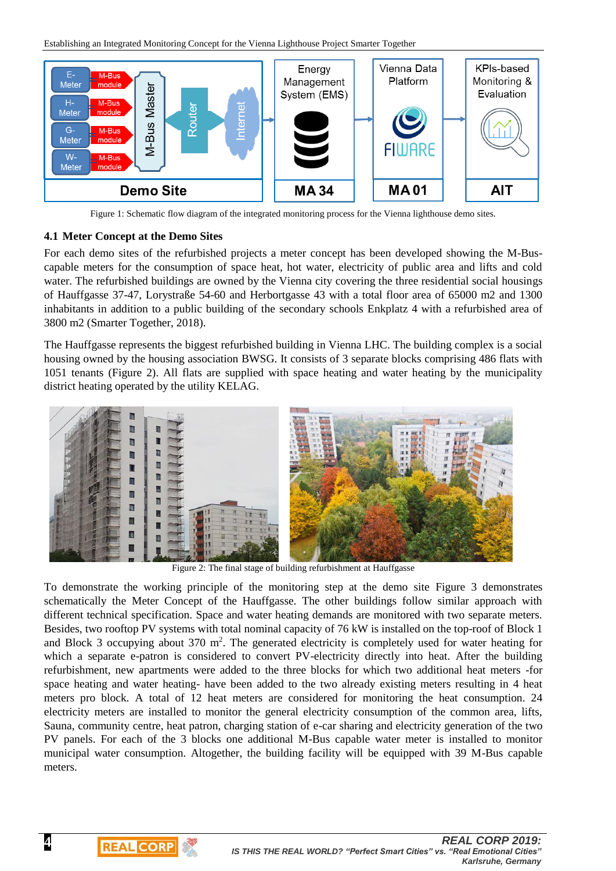

Figure 1: Schematic flow diagram of the integrated monitoring process for the Vienna lighthouse demo sites.

#### **4.1 Meter Concept at the Demo Sites**

**4**

I

**REAL CORP** 

For each demo sites of the refurbished projects a meter concept has been developed showing the M-Buscapable meters for the consumption of space heat, hot water, electricity of public area and lifts and cold water. The refurbished buildings are owned by the Vienna city covering the three residential social housings of Hauffgasse 37-47, Lorystraße 54-60 and Herbortgasse 43 with a total floor area of 65000 m2 and 1300 inhabitants in addition to a public building of the secondary schools Enkplatz 4 with a refurbished area of 3800 m2 (Smarter Together, 2018).

The Hauffgasse represents the biggest refurbished building in Vienna LHC. The building complex is a social housing owned by the housing association BWSG. It consists of 3 separate blocks comprising 486 flats with 1051 tenants (Figure 2). All flats are supplied with space heating and water heating by the municipality district heating operated by the utility KELAG.



Figure 2: The final stage of building refurbishment at Hauffgasse

To demonstrate the working principle of the monitoring step at the demo site Figure 3 demonstrates schematically the Meter Concept of the Hauffgasse. The other buildings follow similar approach with different technical specification. Space and water heating demands are monitored with two separate meters. Besides, two rooftop PV systems with total nominal capacity of 76 kW is installed on the top-roof of Block 1 and Block 3 occupying about  $370 \text{ m}^2$ . The generated electricity is completely used for water heating for which a separate e-patron is considered to convert PV-electricity directly into heat. After the building refurbishment, new apartments were added to the three blocks for which two additional heat meters -for space heating and water heating- have been added to the two already existing meters resulting in 4 heat meters pro block. A total of 12 heat meters are considered for monitoring the heat consumption. 24 electricity meters are installed to monitor the general electricity consumption of the common area, lifts, Sauna, community centre, heat patron, charging station of e-car sharing and electricity generation of the two PV panels. For each of the 3 blocks one additional M-Bus capable water meter is installed to monitor municipal water consumption. Altogether, the building facility will be equipped with 39 M-Bus capable meters.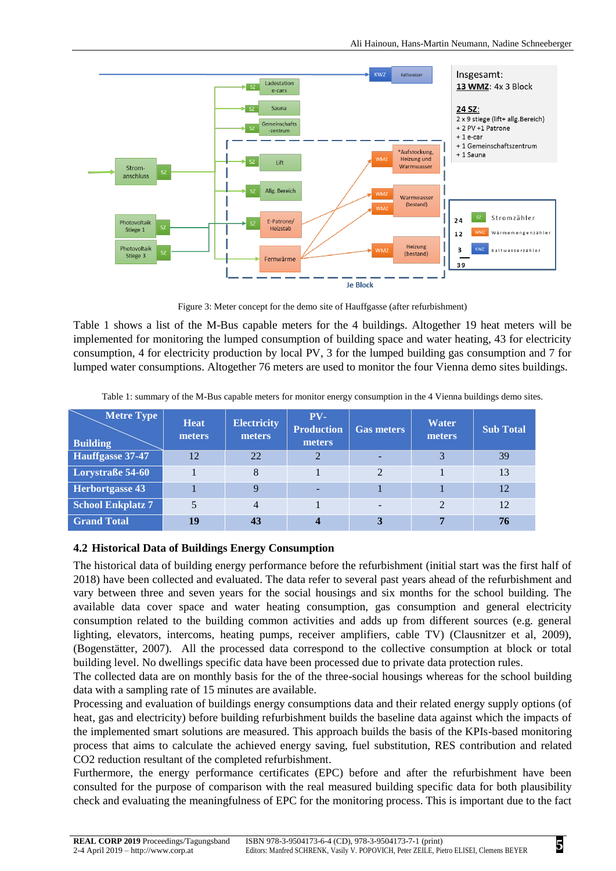

Figure 3: Meter concept for the demo site of Hauffgasse (after refurbishment)

Table 1 shows a list of the M-Bus capable meters for the 4 buildings. Altogether 19 heat meters will be implemented for monitoring the lumped consumption of building space and water heating, 43 for electricity consumption, 4 for electricity production by local PV, 3 for the lumped building gas consumption and 7 for lumped water consumptions. Altogether 76 meters are used to monitor the four Vienna demo sites buildings.

Table 1: summary of the M-Bus capable meters for monitor energy consumption in the 4 Vienna buildings demo sites.

| <b>Metre Type</b><br><b>Building</b> | <b>Heat</b><br>meters | <b>Electricity</b><br>meters | $PV-$<br><b>Production</b><br>meters | <b>Gas meters</b> | <b>Water</b><br>meters | <b>Sub Total</b> |
|--------------------------------------|-----------------------|------------------------------|--------------------------------------|-------------------|------------------------|------------------|
| Hauffgasse 37-47                     | 12                    | 22                           | $\mathfrak{D}$                       |                   |                        | 39               |
| Lorystraße 54-60                     |                       | 8                            |                                      | 2                 |                        | 13               |
| <b>Herbortgasse 43</b>               |                       | 9                            |                                      |                   |                        | 12               |
| <b>School Enkplatz 7</b>             |                       | 4                            |                                      |                   |                        | 12               |
| <b>Grand Total</b>                   | 19                    | 43                           |                                      |                   |                        | 76               |

#### **4.2 Historical Data of Buildings Energy Consumption**

The historical data of building energy performance before the refurbishment (initial start was the first half of 2018) have been collected and evaluated. The data refer to several past years ahead of the refurbishment and vary between three and seven years for the social housings and six months for the school building. The available data cover space and water heating consumption, gas consumption and general electricity consumption related to the building common activities and adds up from different sources (e.g. general lighting, elevators, intercoms, heating pumps, receiver amplifiers, cable TV) (Clausnitzer et al, 2009), (Bogenstätter, 2007). All the processed data correspond to the collective consumption at block or total building level. No dwellings specific data have been processed due to private data protection rules.

The collected data are on monthly basis for the of the three-social housings whereas for the school building data with a sampling rate of 15 minutes are available.

Processing and evaluation of buildings energy consumptions data and their related energy supply options (of heat, gas and electricity) before building refurbishment builds the baseline data against which the impacts of the implemented smart solutions are measured. This approach builds the basis of the KPIs-based monitoring process that aims to calculate the achieved energy saving, fuel substitution, RES contribution and related CO2 reduction resultant of the completed refurbishment.

Furthermore, the energy performance certificates (EPC) before and after the refurbishment have been consulted for the purpose of comparison with the real measured building specific data for both plausibility check and evaluating the meaningfulness of EPC for the monitoring process. This is important due to the fact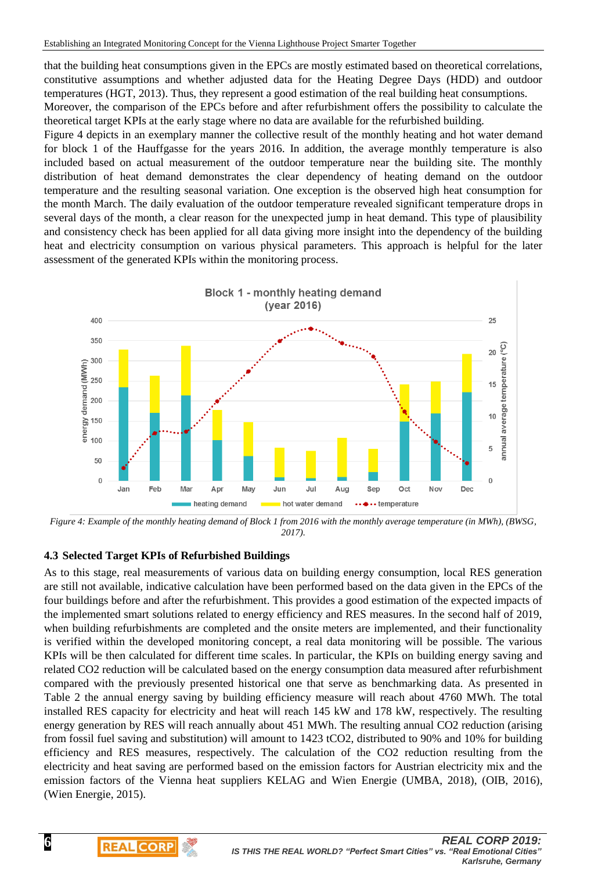that the building heat consumptions given in the EPCs are mostly estimated based on theoretical correlations, constitutive assumptions and whether adjusted data for the Heating Degree Days (HDD) and outdoor temperatures (HGT, 2013). Thus, they represent a good estimation of the real building heat consumptions.

Moreover, the comparison of the EPCs before and after refurbishment offers the possibility to calculate the theoretical target KPIs at the early stage where no data are available for the refurbished building.

Figure 4 depicts in an exemplary manner the collective result of the monthly heating and hot water demand for block 1 of the Hauffgasse for the years 2016. In addition, the average monthly temperature is also included based on actual measurement of the outdoor temperature near the building site. The monthly distribution of heat demand demonstrates the clear dependency of heating demand on the outdoor temperature and the resulting seasonal variation. One exception is the observed high heat consumption for the month March. The daily evaluation of the outdoor temperature revealed significant temperature drops in several days of the month, a clear reason for the unexpected jump in heat demand. This type of plausibility and consistency check has been applied for all data giving more insight into the dependency of the building heat and electricity consumption on various physical parameters. This approach is helpful for the later assessment of the generated KPIs within the monitoring process.



*Figure 4: Example of the monthly heating demand of Block 1 from 2016 with the monthly average temperature (in MWh), (BWSG, 2017).*

#### **4.3 Selected Target KPIs of Refurbished Buildings**

I

**REAL CORP** 

As to this stage, real measurements of various data on building energy consumption, local RES generation are still not available, indicative calculation have been performed based on the data given in the EPCs of the four buildings before and after the refurbishment. This provides a good estimation of the expected impacts of the implemented smart solutions related to energy efficiency and RES measures. In the second half of 2019, when building refurbishments are completed and the onsite meters are implemented, and their functionality is verified within the developed monitoring concept, a real data monitoring will be possible. The various KPIs will be then calculated for different time scales. In particular, the KPIs on building energy saving and related CO2 reduction will be calculated based on the energy consumption data measured after refurbishment compared with the previously presented historical one that serve as benchmarking data. As presented in Table 2 the annual energy saving by building efficiency measure will reach about 4760 MWh. The total installed RES capacity for electricity and heat will reach 145 kW and 178 kW, respectively. The resulting energy generation by RES will reach annually about 451 MWh. The resulting annual CO2 reduction (arising from fossil fuel saving and substitution) will amount to 1423 tCO2, distributed to 90% and 10% for building efficiency and RES measures, respectively. The calculation of the CO2 reduction resulting from the electricity and heat saving are performed based on the emission factors for Austrian electricity mix and the emission factors of the Vienna heat suppliers KELAG and Wien Energie (UMBA, 2018), (OIB, 2016), (Wien Energie, 2015).

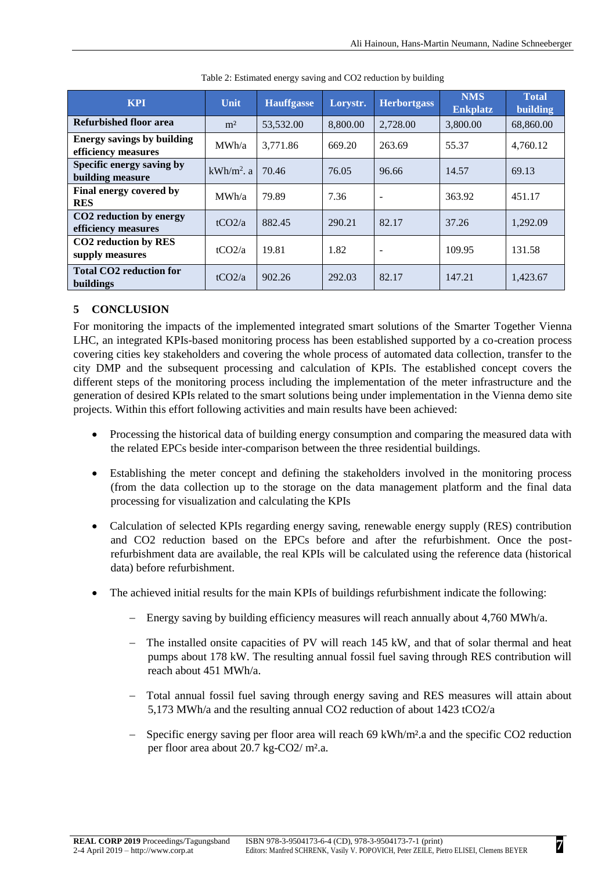| <b>KPI</b>                                                 | Unit           | <b>Hauffgasse</b> | Lorystr. | <b>Herbortgass</b>       | <b>NMS</b><br><b>Enkplatz</b> | <b>Total</b><br>building |
|------------------------------------------------------------|----------------|-------------------|----------|--------------------------|-------------------------------|--------------------------|
| Refurbished floor area                                     | m <sup>2</sup> | 53,532.00         | 8,800.00 | 2,728.00                 | 3,800.00                      | 68,860.00                |
| <b>Energy savings by building</b><br>efficiency measures   | MWh/a          | 3,771.86          | 669.20   | 263.69                   | 55.37                         | 4,760.12                 |
| Specific energy saving by<br>building measure              | $kWh/m2$ . a   | 70.46             | 76.05    | 96.66                    | 14.57                         | 69.13                    |
| Final energy covered by<br><b>RES</b>                      | MWh/a          | 79.89             | 7.36     | $\overline{\phantom{a}}$ | 363.92                        | 451.17                   |
| CO <sub>2</sub> reduction by energy<br>efficiency measures | tCO2/a         | 882.45            | 290.21   | 82.17                    | 37.26                         | 1,292.09                 |
| CO <sub>2</sub> reduction by RES<br>supply measures        | tCO2/a         | 19.81             | 1.82     | $\overline{\phantom{a}}$ | 109.95                        | 131.58                   |
| <b>Total CO2 reduction for</b><br>buildings                | tCO2/a         | 902.26            | 292.03   | 82.17                    | 147.21                        | 1,423.67                 |

| Table 2: Estimated energy saving and CO2 reduction by building |  |  |
|----------------------------------------------------------------|--|--|
|----------------------------------------------------------------|--|--|

# **5 CONCLUSION**

For monitoring the impacts of the implemented integrated smart solutions of the Smarter Together Vienna LHC, an integrated KPIs-based monitoring process has been established supported by a co-creation process covering cities key stakeholders and covering the whole process of automated data collection, transfer to the city DMP and the subsequent processing and calculation of KPIs. The established concept covers the different steps of the monitoring process including the implementation of the meter infrastructure and the generation of desired KPIs related to the smart solutions being under implementation in the Vienna demo site projects. Within this effort following activities and main results have been achieved:

- Processing the historical data of building energy consumption and comparing the measured data with the related EPCs beside inter-comparison between the three residential buildings.
- Establishing the meter concept and defining the stakeholders involved in the monitoring process (from the data collection up to the storage on the data management platform and the final data processing for visualization and calculating the KPIs
- Calculation of selected KPIs regarding energy saving, renewable energy supply (RES) contribution and CO2 reduction based on the EPCs before and after the refurbishment. Once the postrefurbishment data are available, the real KPIs will be calculated using the reference data (historical data) before refurbishment.
- The achieved initial results for the main KPIs of buildings refurbishment indicate the following:
	- Energy saving by building efficiency measures will reach annually about 4,760 MWh/a.
	- The installed onsite capacities of PV will reach 145 kW, and that of solar thermal and heat pumps about 178 kW. The resulting annual fossil fuel saving through RES contribution will reach about 451 MWh/a.
	- Total annual fossil fuel saving through energy saving and RES measures will attain about 5,173 MWh/a and the resulting annual CO2 reduction of about 1423 tCO2/a
	- Specific energy saving per floor area will reach 69 kWh/m².a and the specific CO2 reduction per floor area about 20.7 kg-CO2/ m².a.